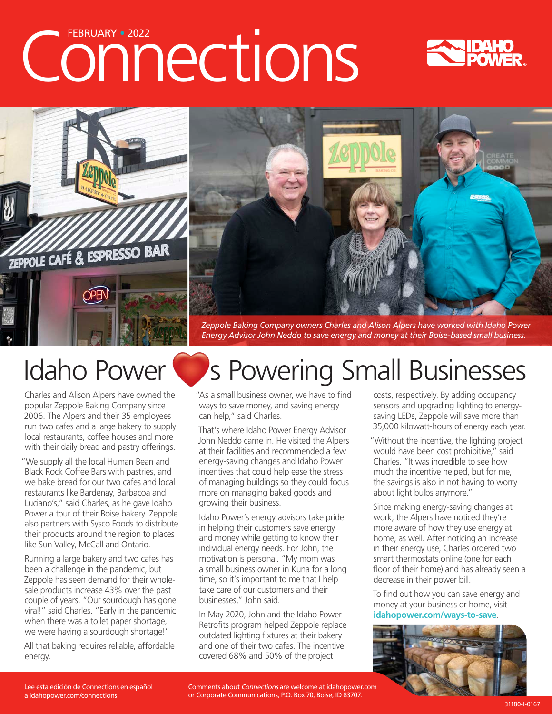# Connections





*Energy Advisor John Neddo to save energy and money at their Boise-based small business.*

Charles and Alison Alpers have owned the popular Zeppole Baking Company since 2006. The Alpers and their 35 employees run two cafes and a large bakery to supply local restaurants, coffee houses and more with their daily bread and pastry offerings.

"We supply all the local Human Bean and Black Rock Coffee Bars with pastries, and we bake bread for our two cafes and local restaurants like Bardenay, Barbacoa and Luciano's," said Charles, as he gave Idaho Power a tour of their Boise bakery. Zeppole also partners with Sysco Foods to distribute their products around the region to places like Sun Valley, McCall and Ontario.

Running a large bakery and two cafes has been a challenge in the pandemic, but Zeppole has seen demand for their wholesale products increase 43% over the past couple of years. "Our sourdough has gone viral!" said Charles. "Early in the pandemic when there was a toilet paper shortage, we were having a sourdough shortage!"

All that baking requires reliable, affordable energy.

## Idaho Power Supers Powering Small Businesses

"As a small business owner, we have to find ways to save money, and saving energy can help," said Charles.

That's where Idaho Power Energy Advisor John Neddo came in. He visited the Alpers at their facilities and recommended a few energy-saving changes and Idaho Power incentives that could help ease the stress of managing buildings so they could focus more on managing baked goods and growing their business.

Idaho Power's energy advisors take pride in helping their customers save energy and money while getting to know their individual energy needs. For John, the motivation is personal. "My mom was a small business owner in Kuna for a long time, so it's important to me that I help take care of our customers and their businesses," John said.

In May 2020, John and the Idaho Power Retrofits program helped Zeppole replace outdated lighting fixtures at their bakery and one of their two cafes. The incentive covered 68% and 50% of the project

costs, respectively. By adding occupancy sensors and upgrading lighting to energysaving LEDs, Zeppole will save more than 35,000 kilowatt-hours of energy each year.

"Without the incentive, the lighting project would have been cost prohibitive," said Charles. "It was incredible to see how much the incentive helped, but for me, the savings is also in not having to worry about light bulbs anymore."

Since making energy-saving changes at work, the Alpers have noticed they're more aware of how they use energy at home, as well. After noticing an increase in their energy use, Charles ordered two smart thermostats online (one for each floor of their home) and has already seen a decrease in their power bill.

To find out how you can save energy and money at your business or home, visit **idahopower.com/ways-to-save**.



Comments about Connections are welcome at [idahopower.com](https://www.idahopower.com/) or Corporate Communications, P.O. Box 70, Boise, ID 83707.